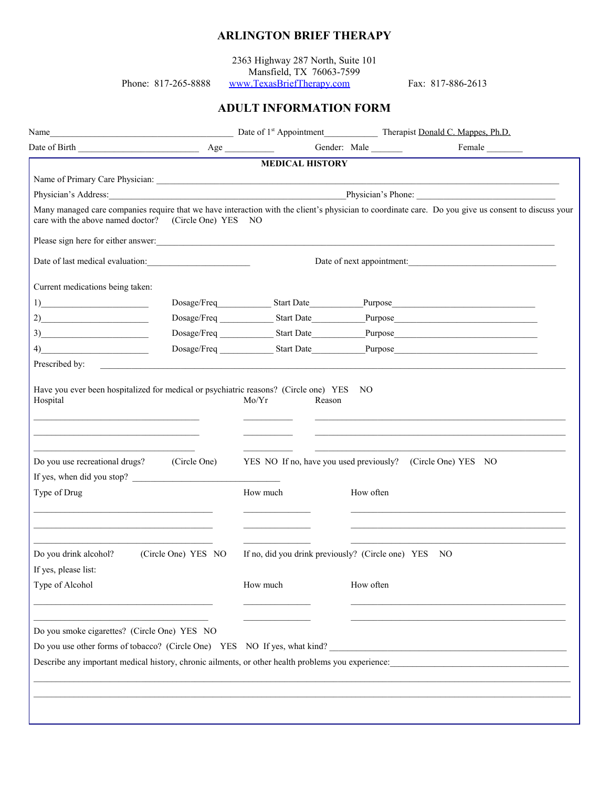## **ARLINGTON BRIEF THERAPY**

2363 Highway 287 North, Suite 101 Mansfield, TX 76063-7599 Phone: 817-265-8888 [www.TexasBriefTherapy.com](http://www.TexasBriefTherapy.com/) Fax: 817-886-2613

## **ADULT INFORMATION FORM**

| <b>MEDICAL HISTORY</b>                                     | Gender: Male                                                                                                                                                                                                                                                                                                                         |  |  |  |  |
|------------------------------------------------------------|--------------------------------------------------------------------------------------------------------------------------------------------------------------------------------------------------------------------------------------------------------------------------------------------------------------------------------------|--|--|--|--|
|                                                            |                                                                                                                                                                                                                                                                                                                                      |  |  |  |  |
|                                                            |                                                                                                                                                                                                                                                                                                                                      |  |  |  |  |
|                                                            | Name of Primary Care Physician: 2008 and 2008 and 2008 and 2008 and 2008 and 2008 and 2008 and 2008 and 2008 and 2008 and 2008 and 2008 and 2008 and 2008 and 2008 and 2008 and 2008 and 2008 and 2008 and 2008 and 2008 and 2                                                                                                       |  |  |  |  |
| Physician's Address: Physician's Phone: Physician's Phone: |                                                                                                                                                                                                                                                                                                                                      |  |  |  |  |
| NO                                                         | Many managed care companies require that we have interaction with the client's physician to coordinate care. Do you give us consent to discuss your                                                                                                                                                                                  |  |  |  |  |
| Please sign here for either answer:                        |                                                                                                                                                                                                                                                                                                                                      |  |  |  |  |
|                                                            | Date of next appointment:                                                                                                                                                                                                                                                                                                            |  |  |  |  |
|                                                            |                                                                                                                                                                                                                                                                                                                                      |  |  |  |  |
|                                                            |                                                                                                                                                                                                                                                                                                                                      |  |  |  |  |
|                                                            |                                                                                                                                                                                                                                                                                                                                      |  |  |  |  |
|                                                            |                                                                                                                                                                                                                                                                                                                                      |  |  |  |  |
|                                                            |                                                                                                                                                                                                                                                                                                                                      |  |  |  |  |
|                                                            |                                                                                                                                                                                                                                                                                                                                      |  |  |  |  |
|                                                            | YES NO If no, have you used previously? (Circle One) YES NO                                                                                                                                                                                                                                                                          |  |  |  |  |
| How much                                                   | How often                                                                                                                                                                                                                                                                                                                            |  |  |  |  |
|                                                            |                                                                                                                                                                                                                                                                                                                                      |  |  |  |  |
|                                                            | If no, did you drink previously? (Circle one) YES NO                                                                                                                                                                                                                                                                                 |  |  |  |  |
|                                                            |                                                                                                                                                                                                                                                                                                                                      |  |  |  |  |
|                                                            | How often                                                                                                                                                                                                                                                                                                                            |  |  |  |  |
|                                                            |                                                                                                                                                                                                                                                                                                                                      |  |  |  |  |
|                                                            | Do you use other forms of tobacco? (Circle One) YES NO If yes, what kind?                                                                                                                                                                                                                                                            |  |  |  |  |
|                                                            | Describe any important medical history, chronic ailments, or other health problems you experience:                                                                                                                                                                                                                                   |  |  |  |  |
|                                                            |                                                                                                                                                                                                                                                                                                                                      |  |  |  |  |
|                                                            |                                                                                                                                                                                                                                                                                                                                      |  |  |  |  |
|                                                            |                                                                                                                                                                                                                                                                                                                                      |  |  |  |  |
|                                                            | care with the above named doctor? (Circle One) YES<br>Date of last medical evaluation:<br><u>Letter and the set of last medical</u><br>Prescribed by:<br>Have you ever been hospitalized for medical or psychiatric reasons? (Circle one) YES NO<br>Mo/Yr<br>Reason<br>If yes, when did you stop?<br>(Circle One) YES NO<br>How much |  |  |  |  |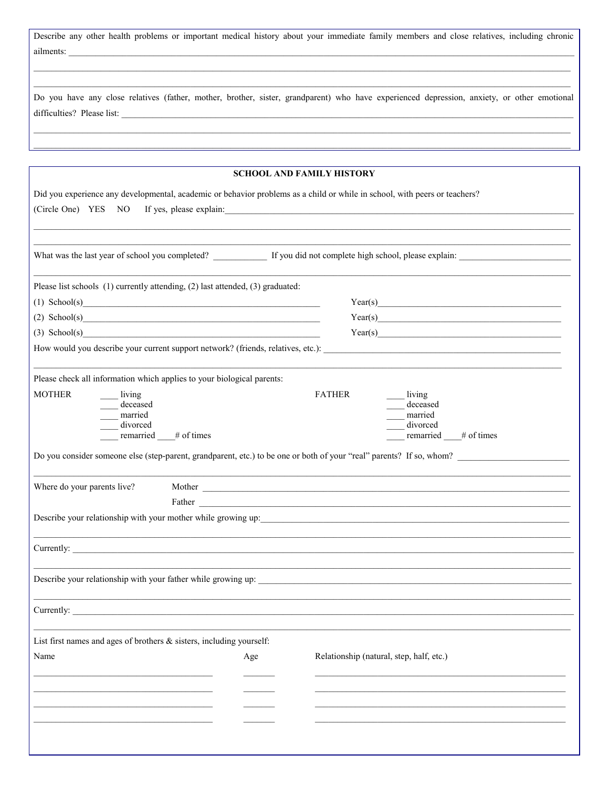Describe any other health problems or important medical history about your immediate family members and close relatives, including chronic ailments:

Do you have any close relatives (father, mother, brother, sister, grandparent) who have experienced depression, anxiety, or other emotional difficulties? Please list:

| <b>SCHOOL AND FAMILY HISTORY</b>                                                                                           |                      |               |                                          |                                                                                                                                                                                                                                      |  |  |
|----------------------------------------------------------------------------------------------------------------------------|----------------------|---------------|------------------------------------------|--------------------------------------------------------------------------------------------------------------------------------------------------------------------------------------------------------------------------------------|--|--|
| Did you experience any developmental, academic or behavior problems as a child or while in school, with peers or teachers? |                      |               |                                          |                                                                                                                                                                                                                                      |  |  |
| (Circle One) YES NO                                                                                                        |                      |               |                                          | If yes, please explain: 100 million and the state of the state of the state of the state of the state of the state of the state of the state of the state of the state of the state of the state of the state of the state of        |  |  |
|                                                                                                                            |                      |               |                                          |                                                                                                                                                                                                                                      |  |  |
|                                                                                                                            |                      |               |                                          | What was the last year of school you completed? If you did not complete high school, please explain:                                                                                                                                 |  |  |
| Please list schools (1) currently attending, (2) last attended, (3) graduated:                                             |                      |               |                                          |                                                                                                                                                                                                                                      |  |  |
|                                                                                                                            |                      |               |                                          | Year(s)                                                                                                                                                                                                                              |  |  |
| $(2)$ School(s)                                                                                                            |                      |               |                                          | Year(s)                                                                                                                                                                                                                              |  |  |
|                                                                                                                            |                      |               |                                          |                                                                                                                                                                                                                                      |  |  |
|                                                                                                                            |                      |               |                                          | How would you describe your current support network? (friends, relatives, etc.):                                                                                                                                                     |  |  |
| Please check all information which applies to your biological parents:                                                     |                      |               |                                          |                                                                                                                                                                                                                                      |  |  |
| <b>MOTHER</b><br>living                                                                                                    |                      | <b>FATHER</b> | living                                   |                                                                                                                                                                                                                                      |  |  |
| deceased<br>married                                                                                                        |                      |               | deceased<br>married                      |                                                                                                                                                                                                                                      |  |  |
| divorced                                                                                                                   |                      |               | divorced                                 |                                                                                                                                                                                                                                      |  |  |
|                                                                                                                            | remarried # of times |               |                                          | remarried # of times                                                                                                                                                                                                                 |  |  |
|                                                                                                                            |                      |               |                                          | Do you consider someone else (step-parent, grandparent, etc.) to be one or both of your "real" parents? If so, whom?                                                                                                                 |  |  |
| Where do your parents live?                                                                                                |                      |               |                                          |                                                                                                                                                                                                                                      |  |  |
|                                                                                                                            |                      |               |                                          | Father <u>and the same of the same of the same of the same of the same of the same of the same of the same of the same of the same of the same of the same of the same of the same of the same of the same of the same of the sa</u> |  |  |
|                                                                                                                            |                      |               |                                          |                                                                                                                                                                                                                                      |  |  |
|                                                                                                                            |                      |               |                                          | Currently: experience and the contract of the contract of the contract of the contract of the contract of the contract of the contract of the contract of the contract of the contract of the contract of the contract of the        |  |  |
|                                                                                                                            |                      |               |                                          |                                                                                                                                                                                                                                      |  |  |
| Currently:                                                                                                                 |                      |               |                                          |                                                                                                                                                                                                                                      |  |  |
|                                                                                                                            |                      |               |                                          |                                                                                                                                                                                                                                      |  |  |
| List first names and ages of brothers $\&$ sisters, including yourself:                                                    |                      |               |                                          |                                                                                                                                                                                                                                      |  |  |
| Name                                                                                                                       | Age                  |               | Relationship (natural, step, half, etc.) |                                                                                                                                                                                                                                      |  |  |
|                                                                                                                            |                      |               |                                          |                                                                                                                                                                                                                                      |  |  |
|                                                                                                                            |                      |               |                                          |                                                                                                                                                                                                                                      |  |  |
|                                                                                                                            |                      |               |                                          |                                                                                                                                                                                                                                      |  |  |
|                                                                                                                            |                      |               |                                          |                                                                                                                                                                                                                                      |  |  |
|                                                                                                                            |                      |               |                                          |                                                                                                                                                                                                                                      |  |  |
|                                                                                                                            |                      |               |                                          |                                                                                                                                                                                                                                      |  |  |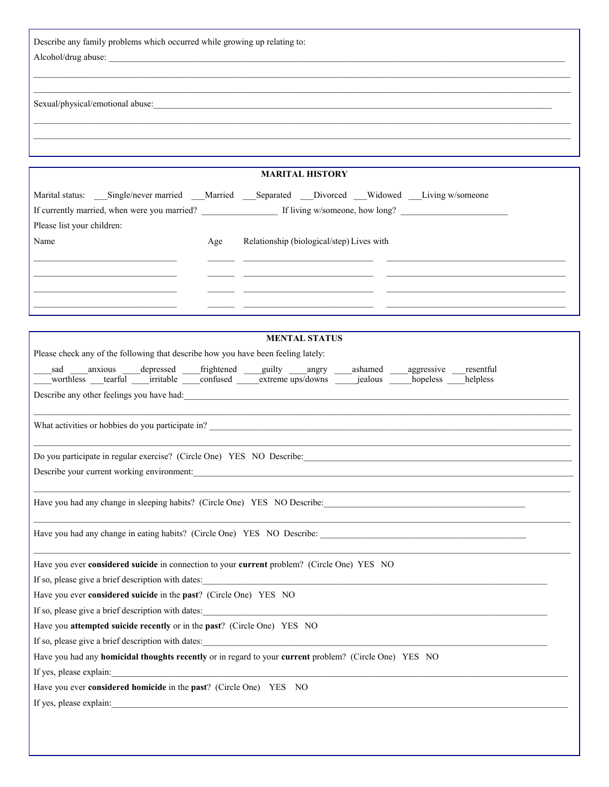Describe any family problems which occurred while growing up relating to: Alcohol/drug abuse:

Sexual/physical/emotional abuse:

| <b>MARITAL HISTORY</b>                                                                   |     |                                           |  |  |  |  |
|------------------------------------------------------------------------------------------|-----|-------------------------------------------|--|--|--|--|
| Marital status: Single/never married Married Separated Divorced Widowed Living w/someone |     |                                           |  |  |  |  |
| If currently married, when were you married? If living w/someone, how long?              |     |                                           |  |  |  |  |
| Please list your children:                                                               |     |                                           |  |  |  |  |
| Name                                                                                     | Age | Relationship (biological/step) Lives with |  |  |  |  |
|                                                                                          |     |                                           |  |  |  |  |
|                                                                                          |     |                                           |  |  |  |  |
|                                                                                          |     |                                           |  |  |  |  |
|                                                                                          |     |                                           |  |  |  |  |

 $\mathcal{L} = \{ \mathcal{L} = \{ \mathcal{L} = \{ \mathcal{L} = \{ \mathcal{L} = \{ \mathcal{L} = \{ \mathcal{L} = \{ \mathcal{L} = \{ \mathcal{L} = \{ \mathcal{L} = \{ \mathcal{L} = \{ \mathcal{L} = \{ \mathcal{L} = \{ \mathcal{L} = \{ \mathcal{L} = \{ \mathcal{L} = \{ \mathcal{L} = \{ \mathcal{L} = \{ \mathcal{L} = \{ \mathcal{L} = \{ \mathcal{L} = \{ \mathcal{L} = \{ \mathcal{L} = \{ \mathcal{L} = \{ \mathcal{$ 

 $\mathcal{L} = \{ \mathcal{L} = \{ \mathcal{L} = \{ \mathcal{L} = \{ \mathcal{L} = \{ \mathcal{L} = \{ \mathcal{L} = \{ \mathcal{L} = \{ \mathcal{L} = \{ \mathcal{L} = \{ \mathcal{L} = \{ \mathcal{L} = \{ \mathcal{L} = \{ \mathcal{L} = \{ \mathcal{L} = \{ \mathcal{L} = \{ \mathcal{L} = \{ \mathcal{L} = \{ \mathcal{L} = \{ \mathcal{L} = \{ \mathcal{L} = \{ \mathcal{L} = \{ \mathcal{L} = \{ \mathcal{L} = \{ \mathcal{$ 

| <b>MENTAL STATUS</b>                                                                                                                                                              |  |  |  |  |  |  |
|-----------------------------------------------------------------------------------------------------------------------------------------------------------------------------------|--|--|--|--|--|--|
| Please check any of the following that describe how you have been feeling lately:                                                                                                 |  |  |  |  |  |  |
| sad anxious depressed frightened guilty angry ashamed a<br>worthless tearful irritable confused extreme ups/downs given jealous<br>aggressive __resentful<br>hopeless<br>helpless |  |  |  |  |  |  |
|                                                                                                                                                                                   |  |  |  |  |  |  |
|                                                                                                                                                                                   |  |  |  |  |  |  |
|                                                                                                                                                                                   |  |  |  |  |  |  |
| Describe your current working environment:                                                                                                                                        |  |  |  |  |  |  |
| Have you had any change in sleeping habits? (Circle One) YES NO Describe:                                                                                                         |  |  |  |  |  |  |
|                                                                                                                                                                                   |  |  |  |  |  |  |
| Have you ever considered suicide in connection to your current problem? (Circle One) YES NO                                                                                       |  |  |  |  |  |  |
| If so, please give a brief description with dates:                                                                                                                                |  |  |  |  |  |  |
| Have you ever considered suicide in the past? (Circle One) YES NO                                                                                                                 |  |  |  |  |  |  |
|                                                                                                                                                                                   |  |  |  |  |  |  |
| Have you attempted suicide recently or in the past? (Circle One) YES NO                                                                                                           |  |  |  |  |  |  |
|                                                                                                                                                                                   |  |  |  |  |  |  |
| Have you had any homicidal thoughts recently or in regard to your current problem? (Circle One) YES NO                                                                            |  |  |  |  |  |  |
| If yes, please explain:                                                                                                                                                           |  |  |  |  |  |  |
| Have you ever considered homicide in the past? (Circle One) YES NO                                                                                                                |  |  |  |  |  |  |
| If yes, please explain:                                                                                                                                                           |  |  |  |  |  |  |
|                                                                                                                                                                                   |  |  |  |  |  |  |